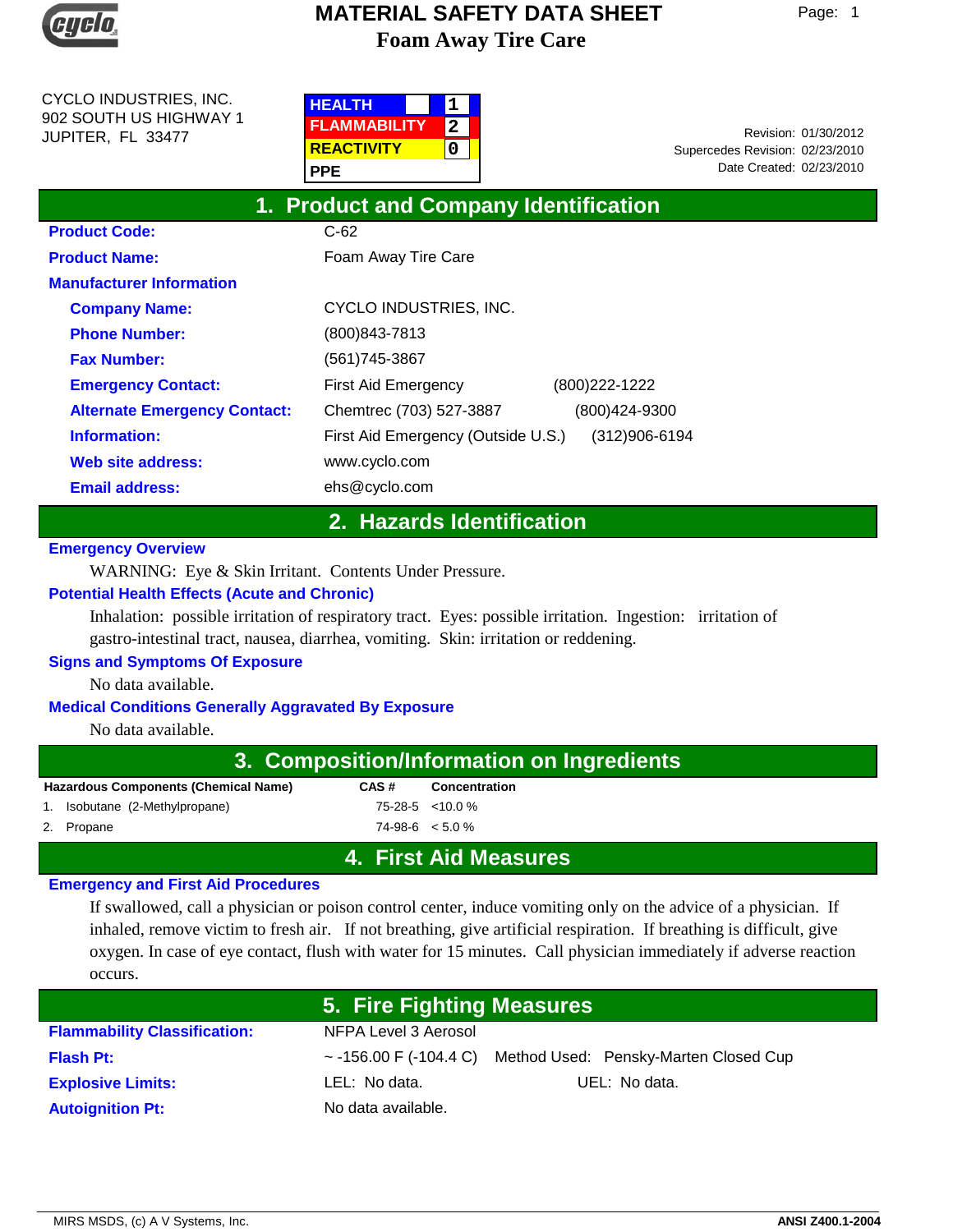

CYCLO INDUSTRIES, INC. 902 SOUTH US HIGHWAY 1 JUPITER, FL 33477

| <b>HEALTH</b>       |  |
|---------------------|--|
| <b>FLAMMABILITY</b> |  |
| <b>REACTIVITY</b>   |  |
| <b>PPE</b>          |  |

Date Created: 02/23/2010 01/30/2012 Revision: Supercedes Revision: 02/23/2010

| 1. Product and Company Identification |                                                     |  |  |  |
|---------------------------------------|-----------------------------------------------------|--|--|--|
| <b>Product Code:</b>                  | $C-62$                                              |  |  |  |
| <b>Product Name:</b>                  | Foam Away Tire Care                                 |  |  |  |
| <b>Manufacturer Information</b>       |                                                     |  |  |  |
| <b>Company Name:</b>                  | CYCLO INDUSTRIES, INC.                              |  |  |  |
| <b>Phone Number:</b>                  | (800) 843-7813                                      |  |  |  |
| <b>Fax Number:</b>                    | (561)745-3867                                       |  |  |  |
| <b>Emergency Contact:</b>             | (800) 222-1222<br>First Aid Emergency               |  |  |  |
| <b>Alternate Emergency Contact:</b>   | Chemtrec (703) 527-3887<br>(800)424-9300            |  |  |  |
| Information:                          | First Aid Emergency (Outside U.S.)<br>(312)906-6194 |  |  |  |
| Web site address:                     | www.cyclo.com                                       |  |  |  |
| <b>Email address:</b>                 | ehs@cyclo.com                                       |  |  |  |

# **2. Hazards Identification**

## **Emergency Overview**

WARNING: Eye & Skin Irritant. Contents Under Pressure.

## **Potential Health Effects (Acute and Chronic)**

Inhalation: possible irritation of respiratory tract. Eyes: possible irritation. Ingestion: irritation of gastro-intestinal tract, nausea, diarrhea, vomiting. Skin: irritation or reddening.

## **Signs and Symptoms Of Exposure**

No data available.

## **Medical Conditions Generally Aggravated By Exposure**

No data available.

| 3. Composition/Information on Ingredients   |      |                      |  |
|---------------------------------------------|------|----------------------|--|
| <b>Hazardous Components (Chemical Name)</b> | CAS# | <b>Concentration</b> |  |
| 1. Isobutane (2-Methylpropane)              |      | 75-28-5 < 10.0 %     |  |
| 2. Propane                                  |      | $74-98-6 \leq 5.0\%$ |  |
|                                             |      |                      |  |

# **4. First Aid Measures**

#### **Emergency and First Aid Procedures**

If swallowed, call a physician or poison control center, induce vomiting only on the advice of a physician. If inhaled, remove victim to fresh air. If not breathing, give artificial respiration. If breathing is difficult, give oxygen. In case of eye contact, flush with water for 15 minutes. Call physician immediately if adverse reaction occurs.

|                                     | 5. Fire Fighting Measures |                                                                   |
|-------------------------------------|---------------------------|-------------------------------------------------------------------|
| <b>Flammability Classification:</b> | NFPA Level 3 Aerosol      |                                                                   |
| <b>Flash Pt:</b>                    |                           | $\sim$ -156.00 F (-104.4 C) Method Used: Pensky-Marten Closed Cup |
| <b>Explosive Limits:</b>            | LEL: No data.             | UEL: No data.                                                     |
| <b>Autoignition Pt:</b>             | No data available.        |                                                                   |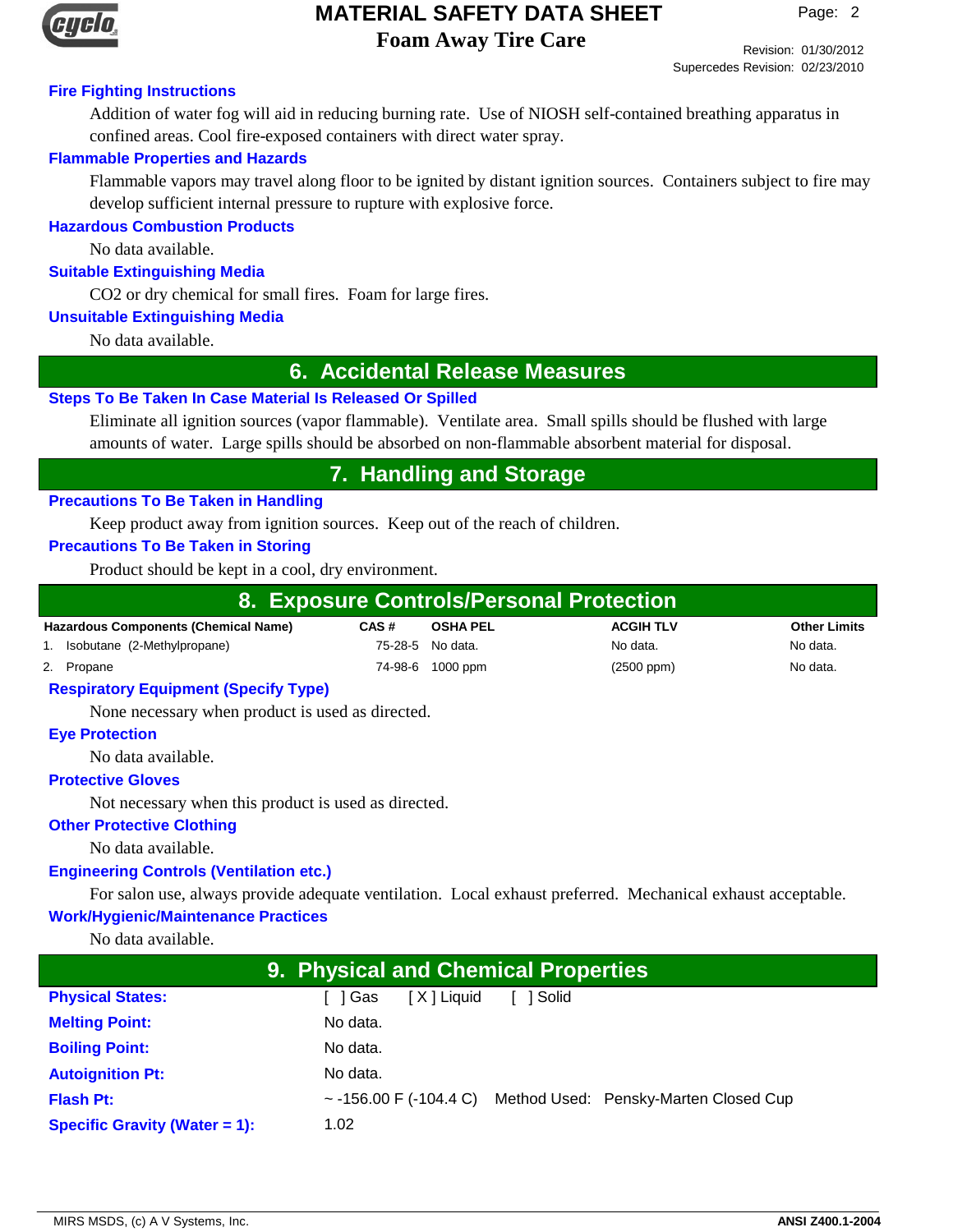

# **MATERIAL SAFETY DATA SHEET**

**Foam Away Tire Care**

Revision: 01/30/2012 Supercedes Revision: 02/23/2010

# **Fire Fighting Instructions**

Addition of water fog will aid in reducing burning rate. Use of NIOSH self-contained breathing apparatus in confined areas. Cool fire-exposed containers with direct water spray.

# **Flammable Properties and Hazards**

Flammable vapors may travel along floor to be ignited by distant ignition sources. Containers subject to fire may develop sufficient internal pressure to rupture with explosive force.

# **Hazardous Combustion Products**

No data available.

## **Suitable Extinguishing Media**

CO2 or dry chemical for small fires. Foam for large fires.

## **Unsuitable Extinguishing Media**

No data available.

# **6. Accidental Release Measures**

## **Steps To Be Taken In Case Material Is Released Or Spilled**

Eliminate all ignition sources (vapor flammable). Ventilate area. Small spills should be flushed with large amounts of water. Large spills should be absorbed on non-flammable absorbent material for disposal.

# **7. Handling and Storage**

## **Precautions To Be Taken in Handling**

Keep product away from ignition sources. Keep out of the reach of children.

# **Precautions To Be Taken in Storing**

Product should be kept in a cool, dry environment.

| 8. Exposure Controls/Personal Protection    |      |                  |                  |                     |
|---------------------------------------------|------|------------------|------------------|---------------------|
| <b>Hazardous Components (Chemical Name)</b> | CAS# | <b>OSHA PEL</b>  | <b>ACGIH TLV</b> | <b>Other Limits</b> |
| 1. Isobutane (2-Methylpropane)              |      | 75-28-5 No data. | No data.         | No data.            |
| 2. Propane                                  |      | 74-98-6 1000 ppm | $(2500$ ppm $)$  | No data.            |

#### **Respiratory Equipment (Specify Type)**

None necessary when product is used as directed.

## **Eye Protection**

No data available.

## **Protective Gloves**

Not necessary when this product is used as directed.

## **Other Protective Clothing**

No data available.

# **Engineering Controls (Ventilation etc.)**

For salon use, always provide adequate ventilation. Local exhaust preferred. Mechanical exhaust acceptable.

## **Work/Hygienic/Maintenance Practices**

No data available.

| <b>9. Physical and Chemical Properties</b> |                      |         |                                                                   |  |
|--------------------------------------------|----------------------|---------|-------------------------------------------------------------------|--|
| <b>Physical States:</b>                    | [X] Liquid<br>「I Gas | l Solid |                                                                   |  |
| <b>Melting Point:</b>                      | No data.             |         |                                                                   |  |
| <b>Boiling Point:</b>                      | No data.             |         |                                                                   |  |
| <b>Autoignition Pt:</b>                    | No data.             |         |                                                                   |  |
| <b>Flash Pt:</b>                           |                      |         | $\sim$ -156.00 F (-104.4 C) Method Used: Pensky-Marten Closed Cup |  |
| <b>Specific Gravity (Water = 1):</b>       | 1.02                 |         |                                                                   |  |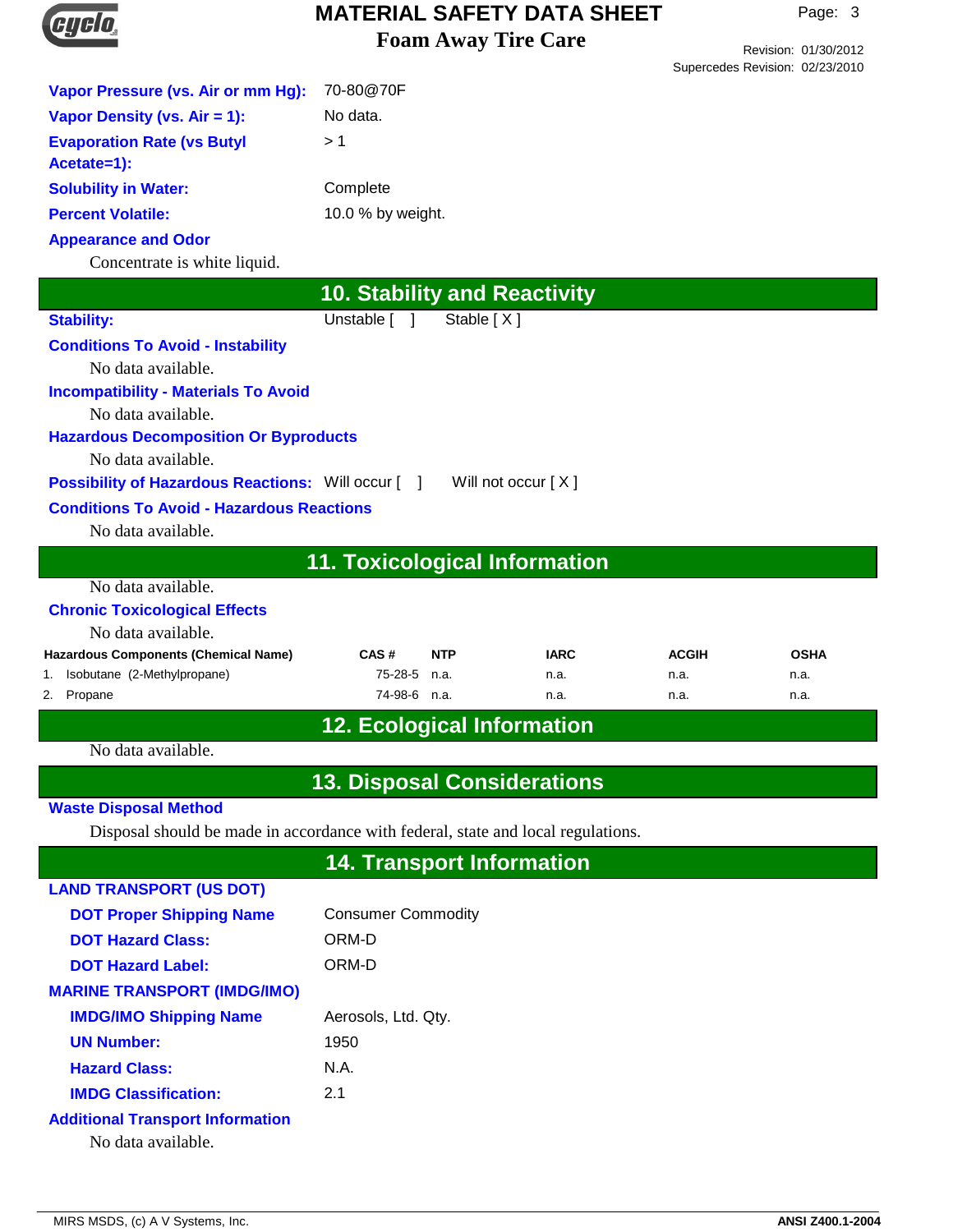

Revision: 01/30/2012 Supercedes Revision: 02/23/2010

| Vapor Pressure (vs. Air or mm Hg):                                               | 70-80@70F                            |                    |                     |                      |                     |
|----------------------------------------------------------------------------------|--------------------------------------|--------------------|---------------------|----------------------|---------------------|
| Vapor Density (vs. Air = 1):                                                     | No data.                             |                    |                     |                      |                     |
| <b>Evaporation Rate (vs Butyl</b>                                                | >1                                   |                    |                     |                      |                     |
| Acetate=1):                                                                      |                                      |                    |                     |                      |                     |
| <b>Solubility in Water:</b>                                                      | Complete                             |                    |                     |                      |                     |
| <b>Percent Volatile:</b>                                                         | 10.0 % by weight.                    |                    |                     |                      |                     |
| <b>Appearance and Odor</b><br>Concentrate is white liquid.                       |                                      |                    |                     |                      |                     |
|                                                                                  |                                      |                    |                     |                      |                     |
|                                                                                  | <b>10. Stability and Reactivity</b>  |                    |                     |                      |                     |
| <b>Stability:</b>                                                                | Unstable [                           | Stable [X]         |                     |                      |                     |
| <b>Conditions To Avoid - Instability</b>                                         |                                      |                    |                     |                      |                     |
| No data available.<br><b>Incompatibility - Materials To Avoid</b>                |                                      |                    |                     |                      |                     |
| No data available.                                                               |                                      |                    |                     |                      |                     |
| <b>Hazardous Decomposition Or Byproducts</b>                                     |                                      |                    |                     |                      |                     |
| No data available.                                                               |                                      |                    |                     |                      |                     |
| <b>Possibility of Hazardous Reactions:</b> Will occur [12]                       |                                      | Will not occur [X] |                     |                      |                     |
| <b>Conditions To Avoid - Hazardous Reactions</b>                                 |                                      |                    |                     |                      |                     |
| No data available.                                                               |                                      |                    |                     |                      |                     |
|                                                                                  | <b>11. Toxicological Information</b> |                    |                     |                      |                     |
| No data available.                                                               |                                      |                    |                     |                      |                     |
| <b>Chronic Toxicological Effects</b>                                             |                                      |                    |                     |                      |                     |
| No data available.                                                               |                                      |                    |                     |                      |                     |
| <b>Hazardous Components (Chemical Name)</b><br>Isobutane (2-Methylpropane)<br>1. | CAS#<br>75-28-5                      | <b>NTP</b><br>n.a. | <b>IARC</b><br>n.a. | <b>ACGIH</b><br>n.a. | <b>OSHA</b><br>n.a. |
| Propane<br>2.                                                                    | 74-98-6 n.a.                         |                    | n.a.                | n.a.                 | n.a.                |
|                                                                                  | <b>12. Ecological Information</b>    |                    |                     |                      |                     |
| No data available.                                                               |                                      |                    |                     |                      |                     |
|                                                                                  | <b>13. Disposal Considerations</b>   |                    |                     |                      |                     |
| <b>Waste Disposal Method</b>                                                     |                                      |                    |                     |                      |                     |
| Disposal should be made in accordance with federal, state and local regulations. |                                      |                    |                     |                      |                     |
|                                                                                  | <b>14. Transport Information</b>     |                    |                     |                      |                     |
| <b>LAND TRANSPORT (US DOT)</b>                                                   |                                      |                    |                     |                      |                     |
| <b>DOT Proper Shipping Name</b>                                                  |                                      |                    |                     |                      |                     |
| <b>DOT Hazard Class:</b>                                                         | <b>Consumer Commodity</b><br>ORM-D   |                    |                     |                      |                     |
| <b>DOT Hazard Label:</b>                                                         | ORM-D                                |                    |                     |                      |                     |
| <b>MARINE TRANSPORT (IMDG/IMO)</b>                                               |                                      |                    |                     |                      |                     |
| <b>IMDG/IMO Shipping Name</b>                                                    | Aerosols, Ltd. Qty.                  |                    |                     |                      |                     |
| <b>UN Number:</b>                                                                | 1950                                 |                    |                     |                      |                     |
| <b>Hazard Class:</b>                                                             |                                      |                    |                     |                      |                     |
|                                                                                  |                                      |                    |                     |                      |                     |
|                                                                                  | N.A.                                 |                    |                     |                      |                     |
| <b>IMDG Classification:</b>                                                      | 2.1                                  |                    |                     |                      |                     |
| <b>Additional Transport Information</b><br>No data available.                    |                                      |                    |                     |                      |                     |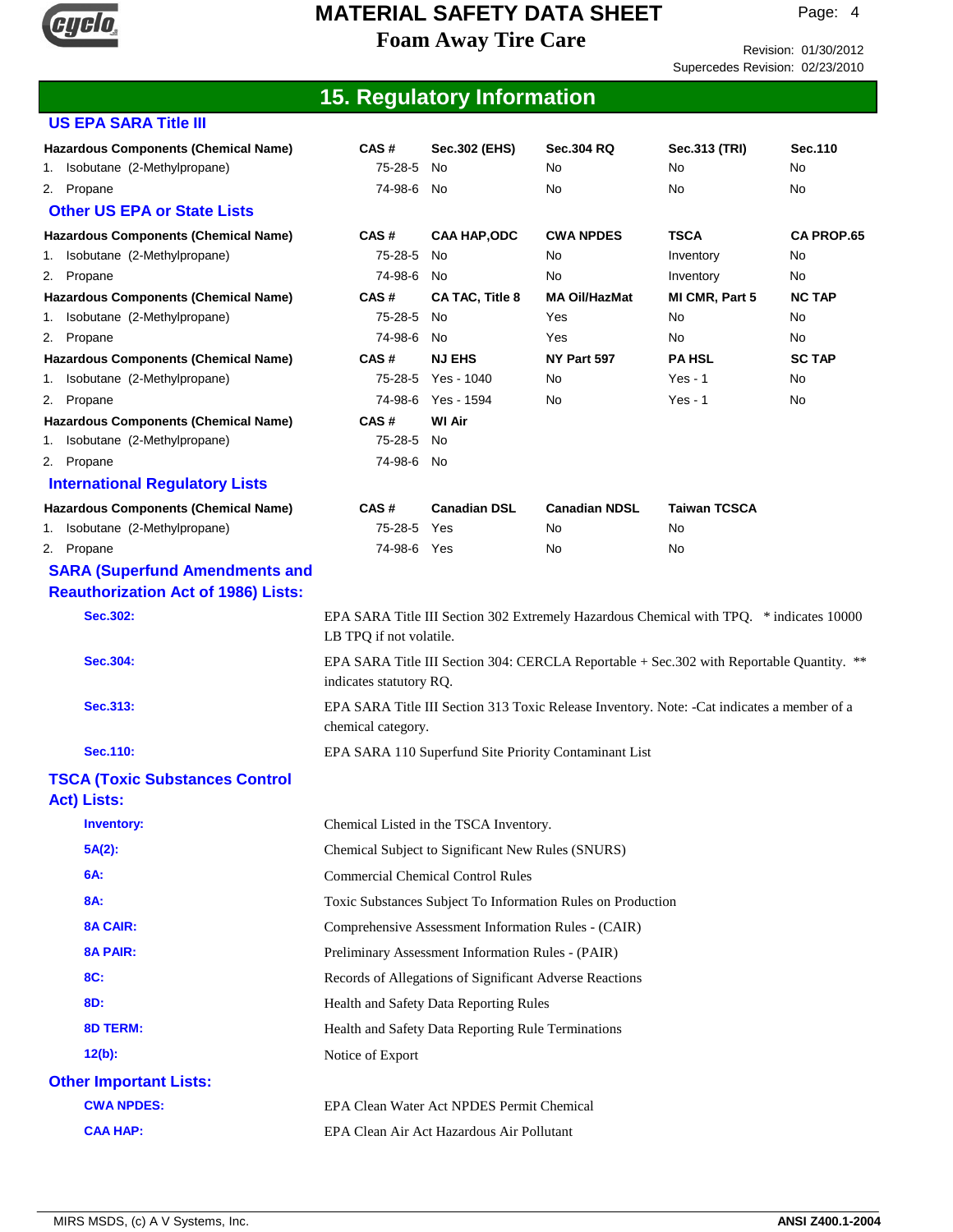

Revision: 01/30/2012 Supercedes Revision: 02/23/2010

|                                                                               |                                                                                                                      | <b>15. Regulatory Information</b>                 |                                                             |                     |                   |
|-------------------------------------------------------------------------------|----------------------------------------------------------------------------------------------------------------------|---------------------------------------------------|-------------------------------------------------------------|---------------------|-------------------|
| <b>US EPA SARA Title III</b>                                                  |                                                                                                                      |                                                   |                                                             |                     |                   |
| <b>Hazardous Components (Chemical Name)</b><br>1. Isobutane (2-Methylpropane) | CAS#<br>75-28-5                                                                                                      | Sec.302 (EHS)<br>No.                              | <b>Sec.304 RQ</b><br>No.                                    | Sec.313 (TRI)<br>No | Sec. 110<br>No    |
| 2. Propane<br><b>Other US EPA or State Lists</b>                              | 74-98-6                                                                                                              | No.                                               | No                                                          | No                  | No                |
| <b>Hazardous Components (Chemical Name)</b>                                   | CAS#                                                                                                                 | <b>CAA HAP,ODC</b>                                | <b>CWA NPDES</b>                                            | <b>TSCA</b>         | <b>CA PROP.65</b> |
| Isobutane (2-Methylpropane)<br>1.                                             | 75-28-5                                                                                                              | No                                                | No                                                          | Inventory           | No                |
| 2. Propane                                                                    | 74-98-6                                                                                                              | No                                                | No                                                          | Inventory           | No                |
| <b>Hazardous Components (Chemical Name)</b>                                   | CAS#                                                                                                                 | CA TAC, Title 8                                   | <b>MA Oil/HazMat</b>                                        | MI CMR, Part 5      | <b>NC TAP</b>     |
| Isobutane (2-Methylpropane)<br>1.                                             | 75-28-5                                                                                                              | No.                                               | Yes                                                         | No                  | No.               |
| Propane<br>2.                                                                 | 74-98-6                                                                                                              | No.                                               | Yes                                                         | No                  | No                |
| <b>Hazardous Components (Chemical Name)</b>                                   | CAS#                                                                                                                 | <b>NJ EHS</b>                                     | NY Part 597                                                 | <b>PA HSL</b>       | <b>SC TAP</b>     |
| Isobutane (2-Methylpropane)<br>1.                                             | 75-28-5                                                                                                              | Yes - 1040                                        | No                                                          | $Yes - 1$           | No                |
| Propane<br>2.<br><b>Hazardous Components (Chemical Name)</b>                  | CAS#                                                                                                                 | 74-98-6 Yes - 1594<br><b>WI Air</b>               | No                                                          | $Yes - 1$           | No                |
| Isobutane (2-Methylpropane)<br>1.                                             | 75-28-5                                                                                                              | No                                                |                                                             |                     |                   |
| 2. Propane                                                                    | 74-98-6 No                                                                                                           |                                                   |                                                             |                     |                   |
| <b>International Regulatory Lists</b>                                         |                                                                                                                      |                                                   |                                                             |                     |                   |
| <b>Hazardous Components (Chemical Name)</b>                                   | CAS#                                                                                                                 | <b>Canadian DSL</b>                               | <b>Canadian NDSL</b>                                        | <b>Taiwan TCSCA</b> |                   |
| Isobutane (2-Methylpropane)<br>1.                                             | 75-28-5                                                                                                              | Yes                                               | No                                                          | No                  |                   |
| 2. Propane                                                                    | 74-98-6 Yes                                                                                                          |                                                   | No                                                          | No                  |                   |
| <b>SARA (Superfund Amendments and</b>                                         |                                                                                                                      |                                                   |                                                             |                     |                   |
| <b>Reauthorization Act of 1986) Lists:</b>                                    |                                                                                                                      |                                                   |                                                             |                     |                   |
| Sec.302:                                                                      | EPA SARA Title III Section 302 Extremely Hazardous Chemical with TPQ. * indicates 10000<br>LB TPQ if not volatile.   |                                                   |                                                             |                     |                   |
| Sec.304:                                                                      | EPA SARA Title III Section 304: CERCLA Reportable + Sec. 302 with Reportable Quantity. **<br>indicates statutory RQ. |                                                   |                                                             |                     |                   |
| Sec.313:                                                                      | EPA SARA Title III Section 313 Toxic Release Inventory. Note: -Cat indicates a member of a<br>chemical category.     |                                                   |                                                             |                     |                   |
| Sec.110:                                                                      |                                                                                                                      |                                                   | EPA SARA 110 Superfund Site Priority Contaminant List       |                     |                   |
| <b>TSCA (Toxic Substances Control</b><br><b>Act) Lists:</b>                   |                                                                                                                      |                                                   |                                                             |                     |                   |
| <b>Inventory:</b>                                                             |                                                                                                                      | Chemical Listed in the TSCA Inventory.            |                                                             |                     |                   |
| $5A(2)$ :                                                                     |                                                                                                                      | Chemical Subject to Significant New Rules (SNURS) |                                                             |                     |                   |
| 6A:                                                                           |                                                                                                                      | <b>Commercial Chemical Control Rules</b>          |                                                             |                     |                   |
| 8A:                                                                           |                                                                                                                      |                                                   | Toxic Substances Subject To Information Rules on Production |                     |                   |
| <b>8A CAIR:</b>                                                               | Comprehensive Assessment Information Rules - (CAIR)                                                                  |                                                   |                                                             |                     |                   |
| <b>8A PAIR:</b>                                                               | Preliminary Assessment Information Rules - (PAIR)                                                                    |                                                   |                                                             |                     |                   |
| 8C:                                                                           |                                                                                                                      |                                                   | Records of Allegations of Significant Adverse Reactions     |                     |                   |
| 8D:                                                                           | Health and Safety Data Reporting Rules                                                                               |                                                   |                                                             |                     |                   |
| <b>8D TERM:</b>                                                               | Health and Safety Data Reporting Rule Terminations                                                                   |                                                   |                                                             |                     |                   |
| $12(b)$ :                                                                     | Notice of Export                                                                                                     |                                                   |                                                             |                     |                   |
| <b>Other Important Lists:</b>                                                 |                                                                                                                      |                                                   |                                                             |                     |                   |
|                                                                               |                                                                                                                      |                                                   |                                                             |                     |                   |
| <b>CWA NPDES:</b>                                                             |                                                                                                                      | EPA Clean Water Act NPDES Permit Chemical         |                                                             |                     |                   |